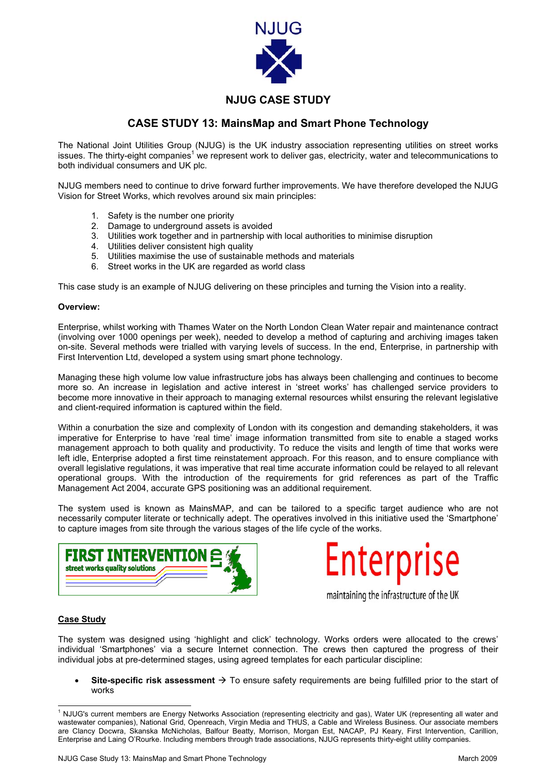

## **NJUG CASE STUDY**

## **CASE STUDY 13: MainsMap and Smart Phone Technology**

The National Joint Utilities Group (NJUG) is the UK industry association representing utilities on street works issues.The thirty-eight companies<sup>1</sup> we represent work to deliver gas, electricity, water and telecommunications to both individual consumers and UK plc.

NJUG members need to continue to drive forward further improvements. We have therefore developed the NJUG Vision for Street Works, which revolves around six main principles:

- 1. Safety is the number one priority
- 2. Damage to underground assets is avoided
- 3. Utilities work together and in partnership with local authorities to minimise disruption
- 4. Utilities deliver consistent high quality
- 5. Utilities maximise the use of sustainable methods and materials
- 6. Street works in the UK are regarded as world class

This case study is an example of NJUG delivering on these principles and turning the Vision into a reality.

## **Overview:**

Enterprise, whilst working with Thames Water on the North London Clean Water repair and maintenance contract (involving over 1000 openings per week), needed to develop a method of capturing and archiving images taken on-site. Several methods were trialled with varying levels of success. In the end, Enterprise, in partnership with First Intervention Ltd, developed a system using smart phone technology.

Managing these high volume low value infrastructure jobs has always been challenging and continues to become more so. An increase in legislation and active interest in 'street works' has challenged service providers to become more innovative in their approach to managing external resources whilst ensuring the relevant legislative and client-required information is captured within the field.

Within a conurbation the size and complexity of London with its congestion and demanding stakeholders, it was imperative for Enterprise to have 'real time' image information transmitted from site to enable a staged works management approach to both quality and productivity. To reduce the visits and length of time that works were left idle, Enterprise adopted a first time reinstatement approach. For this reason, and to ensure compliance with overall legislative regulations, it was imperative that real time accurate information could be relayed to all relevant operational groups. With the introduction of the requirements for grid references as part of the Traffic Management Act 2004, accurate GPS positioning was an additional requirement.

The system used is known as MainsMAP, and can be tailored to a specific target audience who are not necessarily computer literate or technically adept. The operatives involved in this initiative used the 'Smartphone' to capture images from site through the various stages of the life cycle of the works.





maintaining the infrastructure of the UK

## **Case Study**

The system was designed using 'highlight and click' technology. Works orders were allocated to the crews' individual 'Smartphones' via a secure Internet connection. The crews then captured the progress of their individual jobs at pre-determined stages, using agreed templates for each particular discipline:

Site-specific risk assessment  $\rightarrow$  To ensure safety requirements are being fulfilled prior to the start of works

<span id="page-0-0"></span> $\frac{1}{1}$  $1$  NJUG's current members are Energy Networks Association (representing electricity and gas), Water UK (representing all water and wastewater companies), National Grid, Openreach, Virgin Media and THUS, a Cable and Wireless Business. Our associate members are Clancy Docwra, Skanska McNicholas, Balfour Beatty, Morrison, Morgan Est, NACAP, PJ Keary, First Intervention, Carillion, Enterprise and Laing O'Rourke. Including members through trade associations, NJUG represents thirty-eight utility companies.